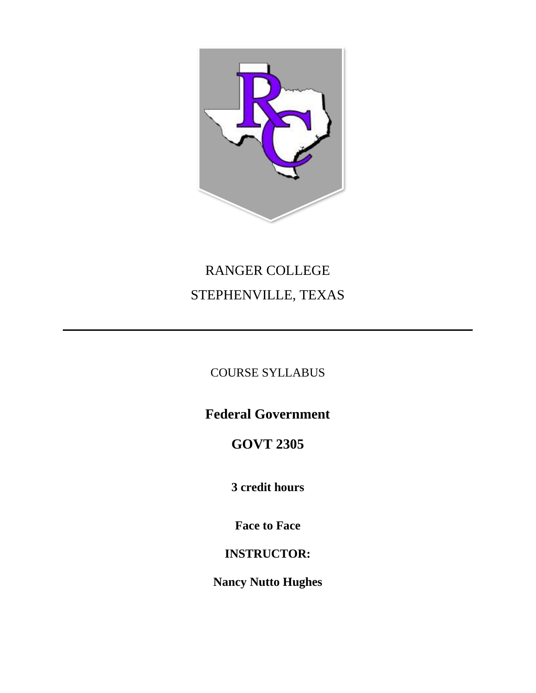

# RANGER COLLEGE STEPHENVILLE, TEXAS

### COURSE SYLLABUS

# **Federal Government**

# **GOVT 2305**

# **3 credit hours**

### **Face to Face**

### **INSTRUCTOR:**

# **Nancy Nutto Hughes**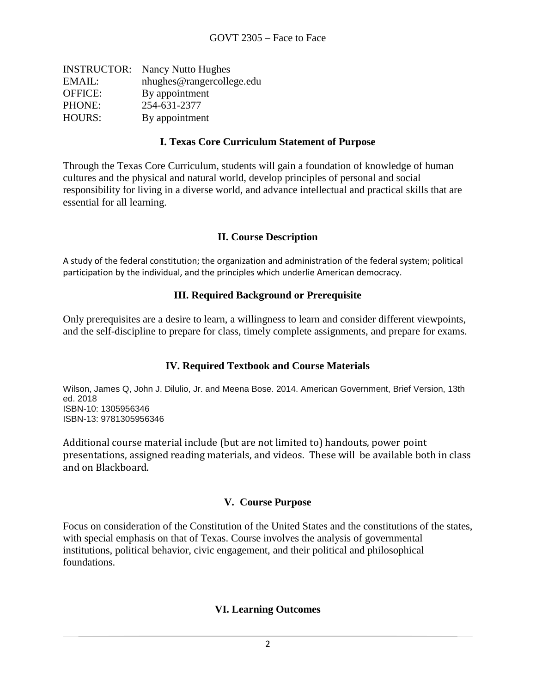| <b>INSTRUCTOR:</b> Nancy Nutto Hughes |
|---------------------------------------|
| nhughes@rangercollege.edu             |
| By appointment                        |
| 254-631-2377                          |
| By appointment                        |
|                                       |

#### **I. Texas Core Curriculum Statement of Purpose**

Through the Texas Core Curriculum, students will gain a foundation of knowledge of human cultures and the physical and natural world, develop principles of personal and social responsibility for living in a diverse world, and advance intellectual and practical skills that are essential for all learning.

#### **II. Course Description**

A study of the federal constitution; the organization and administration of the federal system; political participation by the individual, and the principles which underlie American democracy.

#### **III. Required Background or Prerequisite**

Only prerequisites are a desire to learn, a willingness to learn and consider different viewpoints, and the self-discipline to prepare for class, timely complete assignments, and prepare for exams.

#### **IV. Required Textbook and Course Materials**

Wilson, James Q, John J. Dilulio, Jr. and Meena Bose. 2014. American Government, Brief Version, 13th ed. 2018 ISBN-10: 1305956346 ISBN-13: 9781305956346

Additional course material include (but are not limited to) handouts, power point presentations, assigned reading materials, and videos. These will be available both in class and on Blackboard.

#### **V. Course Purpose**

Focus on consideration of the Constitution of the United States and the constitutions of the states, with special emphasis on that of Texas. Course involves the analysis of governmental institutions, political behavior, civic engagement, and their political and philosophical foundations.

#### **VI. Learning Outcomes**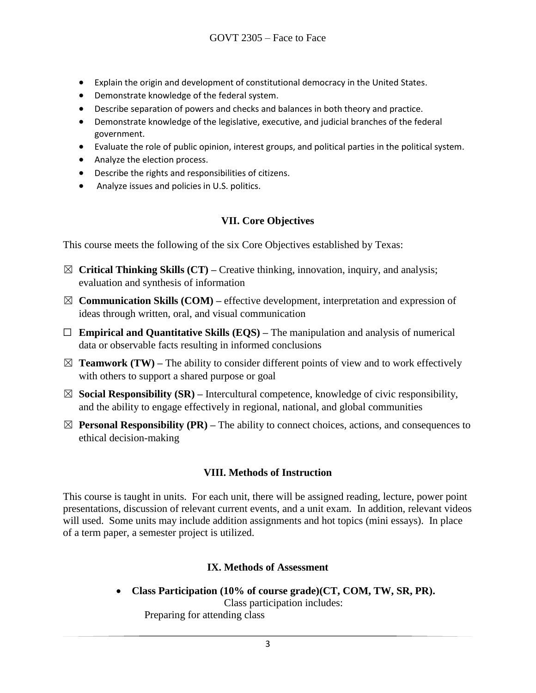- Explain the origin and development of constitutional democracy in the United States.
- Demonstrate knowledge of the federal system.
- Describe separation of powers and checks and balances in both theory and practice.
- Demonstrate knowledge of the legislative, executive, and judicial branches of the federal government.
- Evaluate the role of public opinion, interest groups, and political parties in the political system.
- Analyze the election process.
- Describe the rights and responsibilities of citizens.
- Analyze issues and policies in U.S. politics.

#### **VII. Core Objectives**

This course meets the following of the six Core Objectives established by Texas:

- $\boxtimes$  **Critical Thinking Skills (CT)** Creative thinking, innovation, inquiry, and analysis; evaluation and synthesis of information
- $\boxtimes$  **Communication Skills (COM)** effective development, interpretation and expression of ideas through written, oral, and visual communication
- $\Box$  **Empirical and Quantitative Skills (EQS)** The manipulation and analysis of numerical data or observable facts resulting in informed conclusions
- $\boxtimes$  **Teamwork (TW)** The ability to consider different points of view and to work effectively with others to support a shared purpose or goal
- $\boxtimes$  **Social Responsibility (SR)** Intercultural competence, knowledge of civic responsibility, and the ability to engage effectively in regional, national, and global communities
- $\boxtimes$  **Personal Responsibility (PR)** The ability to connect choices, actions, and consequences to ethical decision-making

#### **VIII. Methods of Instruction**

This course is taught in units. For each unit, there will be assigned reading, lecture, power point presentations, discussion of relevant current events, and a unit exam. In addition, relevant videos will used. Some units may include addition assignments and hot topics (mini essays). In place of a term paper, a semester project is utilized.

#### **IX. Methods of Assessment**

• **Class Participation (10% of course grade)(CT, COM, TW, SR, PR).**  Class participation includes:

Preparing for attending class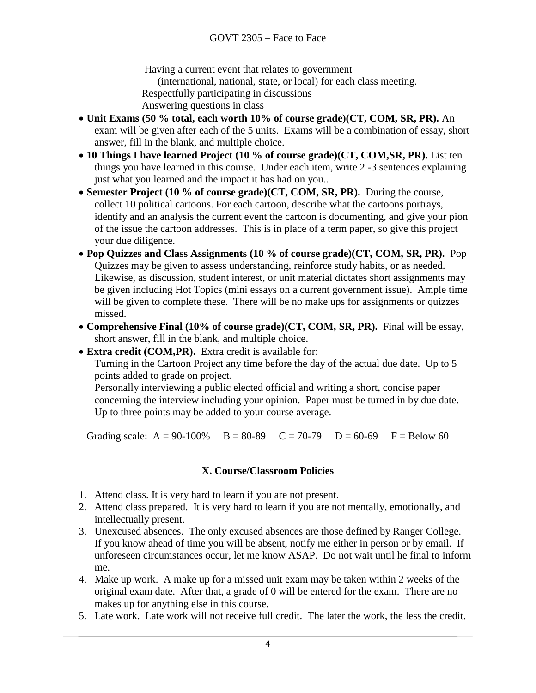Having a current event that relates to government

(international, national, state, or local) for each class meeting.

Respectfully participating in discussions

Answering questions in class

- **Unit Exams (50 % total, each worth 10% of course grade)(CT, COM, SR, PR).** An exam will be given after each of the 5 units. Exams will be a combination of essay, short answer, fill in the blank, and multiple choice.
- **10 Things I have learned Project (10 % of course grade)(CT, COM,SR, PR).** List ten things you have learned in this course. Under each item, write 2 -3 sentences explaining just what you learned and the impact it has had on you..
- **Semester Project (10 % of course grade)(CT, COM, SR, PR).** During the course, collect 10 political cartoons. For each cartoon, describe what the cartoons portrays, identify and an analysis the current event the cartoon is documenting, and give your pion of the issue the cartoon addresses. This is in place of a term paper, so give this project your due diligence.
- **Pop Quizzes and Class Assignments (10 % of course grade)(CT, COM, SR, PR).** Pop Quizzes may be given to assess understanding, reinforce study habits, or as needed. Likewise, as discussion, student interest, or unit material dictates short assignments may be given including Hot Topics (mini essays on a current government issue). Ample time will be given to complete these. There will be no make ups for assignments or quizzes missed.
- **Comprehensive Final (10% of course grade)(CT, COM, SR, PR).** Final will be essay, short answer, fill in the blank, and multiple choice.
- **Extra credit (COM,PR).** Extra credit is available for:

Turning in the Cartoon Project any time before the day of the actual due date. Up to 5 points added to grade on project.

Personally interviewing a public elected official and writing a short, concise paper concerning the interview including your opinion. Paper must be turned in by due date. Up to three points may be added to your course average.

Grading scale:  $A = 90-100\%$   $B = 80-89$   $C = 70-79$   $D = 60-69$   $F = Below 60$ 

#### **X. Course/Classroom Policies**

- 1. Attend class. It is very hard to learn if you are not present.
- 2. Attend class prepared. It is very hard to learn if you are not mentally, emotionally, and intellectually present.
- 3. Unexcused absences. The only excused absences are those defined by Ranger College. If you know ahead of time you will be absent, notify me either in person or by email. If unforeseen circumstances occur, let me know ASAP. Do not wait until he final to inform me.
- 4. Make up work. A make up for a missed unit exam may be taken within 2 weeks of the original exam date. After that, a grade of 0 will be entered for the exam. There are no makes up for anything else in this course.
- 5. Late work. Late work will not receive full credit. The later the work, the less the credit.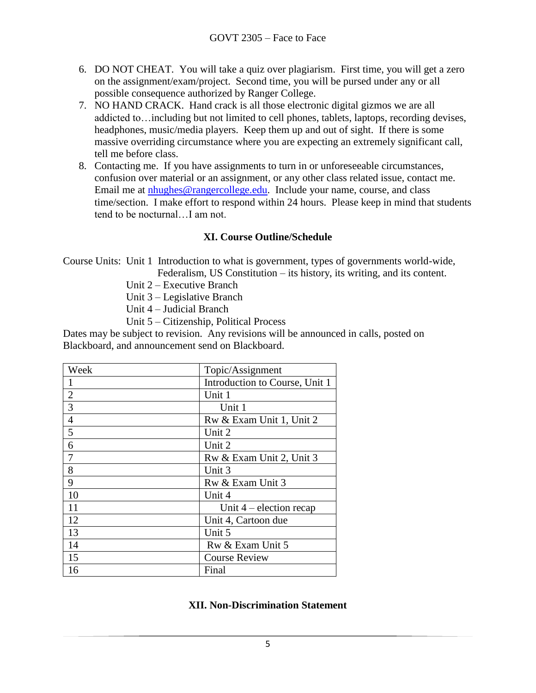- 6. DO NOT CHEAT. You will take a quiz over plagiarism. First time, you will get a zero on the assignment/exam/project. Second time, you will be pursed under any or all possible consequence authorized by Ranger College.
- 7. NO HAND CRACK. Hand crack is all those electronic digital gizmos we are all addicted to…including but not limited to cell phones, tablets, laptops, recording devises, headphones, music/media players. Keep them up and out of sight. If there is some massive overriding circumstance where you are expecting an extremely significant call, tell me before class.
- 8. Contacting me. If you have assignments to turn in or unforeseeable circumstances, confusion over material or an assignment, or any other class related issue, contact me. Email me at [nhughes@rangercollege.edu.](mailto:nhughes@rangercollege.edu) Include your name, course, and class time/section. I make effort to respond within 24 hours. Please keep in mind that students tend to be nocturnal…I am not.

#### **XI. Course Outline/Schedule**

Course Units: Unit 1 Introduction to what is government, types of governments world-wide, Federalism, US Constitution – its history, its writing, and its content.

Unit 2 – Executive Branch

Unit 3 – Legislative Branch

- Unit 4 Judicial Branch
- Unit 5 Citizenship, Political Process

Dates may be subject to revision. Any revisions will be announced in calls, posted on Blackboard, and announcement send on Blackboard.

| Week           | Topic/Assignment               |
|----------------|--------------------------------|
|                | Introduction to Course, Unit 1 |
| $\mathbf{2}$   | Unit 1                         |
| $\overline{3}$ | Unit 1                         |
| $\overline{4}$ | Rw & Exam Unit 1, Unit 2       |
| 5              | Unit 2                         |
| 6              | Unit 2                         |
| 7              | Rw & Exam Unit 2, Unit 3       |
| 8              | Unit 3                         |
| 9              | Rw & Exam Unit 3               |
| 10             | Unit 4                         |
| 11             | Unit $4$ – election recap      |
| 12             | Unit 4, Cartoon due            |
| 13             | Unit 5                         |
| 14             | Rw & Exam Unit 5               |
| 15             | <b>Course Review</b>           |
| 16             | Final                          |

#### **XII. Non-Discrimination Statement**